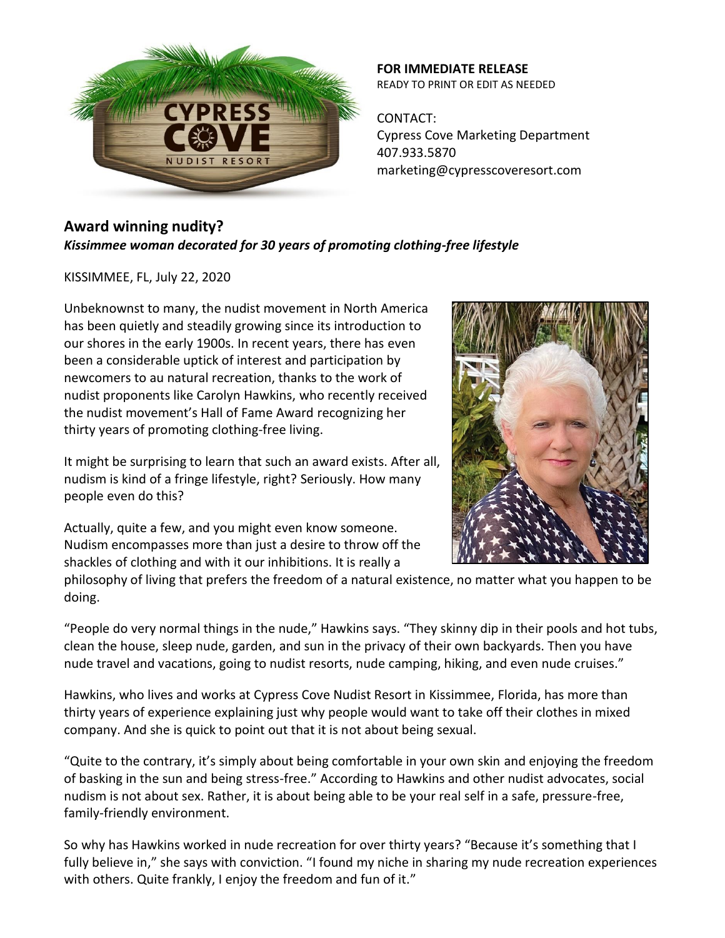

**FOR IMMEDIATE RELEASE** READY TO PRINT OR EDIT AS NEEDED

CONTACT: Cypress Cove Marketing Department 407.933.5870 marketing@cypresscoveresort.com

## **Award winning nudity?** *Kissimmee woman decorated for 30 years of promoting clothing-free lifestyle*

KISSIMMEE, FL, July 22, 2020

Unbeknownst to many, the nudist movement in North America has been quietly and steadily growing since its introduction to our shores in the early 1900s. In recent years, there has even been a considerable uptick of interest and participation by newcomers to au natural recreation, thanks to the work of nudist proponents like Carolyn Hawkins, who recently received the nudist movement's Hall of Fame Award recognizing her thirty years of promoting clothing-free living.

It might be surprising to learn that such an award exists. After all, nudism is kind of a fringe lifestyle, right? Seriously. How many people even do this?

Actually, quite a few, and you might even know someone. Nudism encompasses more than just a desire to throw off the shackles of clothing and with it our inhibitions. It is really a

philosophy of living that prefers the freedom of a natural existence, no matter what you happen to be doing.

"People do very normal things in the nude," Hawkins says. "They skinny dip in their pools and hot tubs, clean the house, sleep nude, garden, and sun in the privacy of their own backyards. Then you have nude travel and vacations, going to nudist resorts, nude camping, hiking, and even nude cruises."

Hawkins, who lives and works at Cypress Cove Nudist Resort in Kissimmee, Florida, has more than thirty years of experience explaining just why people would want to take off their clothes in mixed company. And she is quick to point out that it is not about being sexual.

"Quite to the contrary, it's simply about being comfortable in your own skin and enjoying the freedom of basking in the sun and being stress-free." According to Hawkins and other nudist advocates, social nudism is not about sex. Rather, it is about being able to be your real self in a safe, pressure-free, family-friendly environment.

So why has Hawkins worked in nude recreation for over thirty years? "Because it's something that I fully believe in," she says with conviction. "I found my niche in sharing my nude recreation experiences with others. Quite frankly, I enjoy the freedom and fun of it."